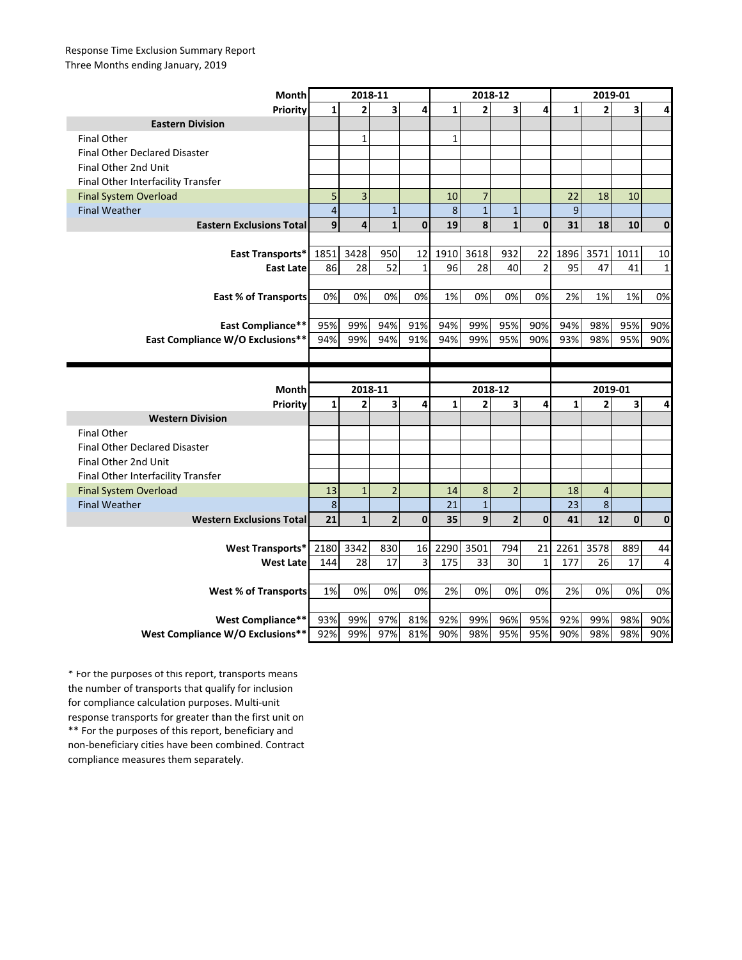## Response Time Exclusion Summary Report Three Months ending January, 2019

| Month                                | 2018-11                 |                |                         |              | 2018-12      |                |                         |                | 2019-01      |                |      |              |
|--------------------------------------|-------------------------|----------------|-------------------------|--------------|--------------|----------------|-------------------------|----------------|--------------|----------------|------|--------------|
| Priority                             | $\mathbf{1}$            | $\overline{2}$ | $\overline{\mathbf{3}}$ | 4            | $\mathbf{1}$ | $\overline{2}$ | $\overline{\mathbf{3}}$ | 4              | $\mathbf{1}$ | $\overline{2}$ | 3    | 4            |
| <b>Eastern Division</b>              |                         |                |                         |              |              |                |                         |                |              |                |      |              |
| <b>Final Other</b>                   |                         | $\mathbf{1}$   |                         |              | $\mathbf{1}$ |                |                         |                |              |                |      |              |
| <b>Final Other Declared Disaster</b> |                         |                |                         |              |              |                |                         |                |              |                |      |              |
| Final Other 2nd Unit                 |                         |                |                         |              |              |                |                         |                |              |                |      |              |
| Final Other Interfacility Transfer   |                         |                |                         |              |              |                |                         |                |              |                |      |              |
| <b>Final System Overload</b>         | 5                       | 3              |                         |              | 10           | $\overline{7}$ |                         |                | 22           | 18             | 10   |              |
| <b>Final Weather</b>                 | $\overline{\mathbf{4}}$ |                | $\mathbf{1}$            |              | 8            | $\mathbf 1$    | $\mathbf{1}$            |                | 9            |                |      |              |
| <b>Eastern Exclusions Total</b>      | 9                       | 4              | $\mathbf{1}$            | $\mathbf{0}$ | 19           | 8              | $\mathbf{1}$            | $\mathbf{0}$   | 31           | 18             | 10   | $\mathbf{0}$ |
|                                      |                         |                |                         |              |              |                |                         |                |              |                |      |              |
| East Transports*                     | 1851                    | 3428           | 950                     | 12           | 1910         | 3618           | 932                     | 22             | 1896         | 3571           | 1011 | 10           |
| <b>East Late</b>                     | 86                      | 28             | 52                      | $\mathbf{1}$ | 96           | 28             | 40                      | $\overline{2}$ | 95           | 47             | 41   | $1\,$        |
|                                      |                         |                |                         |              |              |                |                         |                |              |                |      |              |
| <b>East % of Transports</b>          | 0%                      | 0%             | 0%                      | 0%           | 1%           | 0%             | 0%                      | 0%             | 2%           | 1%             | 1%   | 0%           |
|                                      |                         |                |                         |              |              |                |                         |                |              |                |      |              |
| <b>East Compliance**</b>             | 95%                     | 99%            | 94%                     | 91%          | 94%          | 99%            | 95%                     | 90%            | 94%          | 98%            | 95%  | 90%          |
| East Compliance W/O Exclusions**     | 94%                     | 99%            | 94%                     | 91%          | 94%          | 99%            | 95%                     | 90%            | 93%          | 98%            | 95%  | 90%          |
|                                      |                         |                |                         |              |              |                |                         |                |              |                |      |              |
|                                      |                         |                |                         |              |              |                |                         |                |              |                |      |              |
|                                      |                         |                |                         |              |              |                |                         |                |              |                |      |              |
| Month                                |                         | 2018-11        |                         |              |              | 2018-12        |                         |                |              | 2019-01        |      |              |
| Priority                             | $\mathbf{1}$            | $\overline{2}$ | 3                       | 4            | $\mathbf{1}$ | $\overline{2}$ | 3                       | 4              | $\mathbf{1}$ | $\overline{2}$ | 3    | 4            |
| <b>Western Division</b>              |                         |                |                         |              |              |                |                         |                |              |                |      |              |
| <b>Final Other</b>                   |                         |                |                         |              |              |                |                         |                |              |                |      |              |
| <b>Final Other Declared Disaster</b> |                         |                |                         |              |              |                |                         |                |              |                |      |              |
| Final Other 2nd Unit                 |                         |                |                         |              |              |                |                         |                |              |                |      |              |
| Final Other Interfacility Transfer   |                         |                |                         |              |              |                |                         |                |              |                |      |              |
| <b>Final System Overload</b>         | 13                      | $\mathbf{1}$   | $\overline{2}$          |              | 14           | 8              | $\overline{2}$          |                | 18           | 4              |      |              |
| <b>Final Weather</b>                 | $\,8\,$                 |                |                         |              | 21           | $\mathbf 1$    |                         |                | 23           | $\bf 8$        |      |              |
| <b>Western Exclusions Total</b>      | 21                      | $\mathbf{1}$   | $\overline{\mathbf{2}}$ | $\mathbf 0$  | 35           | 9              | $\overline{2}$          | $\mathbf 0$    | 41           | 12             | 0    | $\mathbf{0}$ |
|                                      |                         |                |                         |              |              |                |                         |                |              |                |      |              |
| <b>West Transports*</b>              | 2180                    | 3342           | 830                     | 16           | 2290         | 3501           | 794                     | 21             | 2261         | 3578           | 889  | 44           |
| <b>West Late</b>                     | 144                     | 28             | 17                      | 3            | 175          | 33             | 30                      | $\mathbf{1}$   | 177          | 26             | 17   | 4            |
|                                      |                         |                |                         |              |              |                |                         |                |              |                |      |              |
| <b>West % of Transports</b>          | $1\%$                   | 0%             | 0%                      | 0%           | 2%           | 0%             | 0%                      | 0%             | 2%           | 0%             | 0%   | 0%           |
|                                      |                         |                |                         |              |              |                |                         |                |              |                |      |              |
| West Compliance**                    | 93%                     | 99%            | 97%<br>97%              | 81%          | 92%          | 99%<br>98%     | 96%<br>95%              | 95%            | 92%          | 99%<br>98%     | 98%  | 90%          |

\*\* For the purposes of this report, beneficiary and non-beneficiary cities have been combined. Contract compliance measures them separately. \* For the purposes of this report, transports means the number of transports that qualify for inclusion for compliance calculation purposes. Multi-unit response transports for greater than the first unit on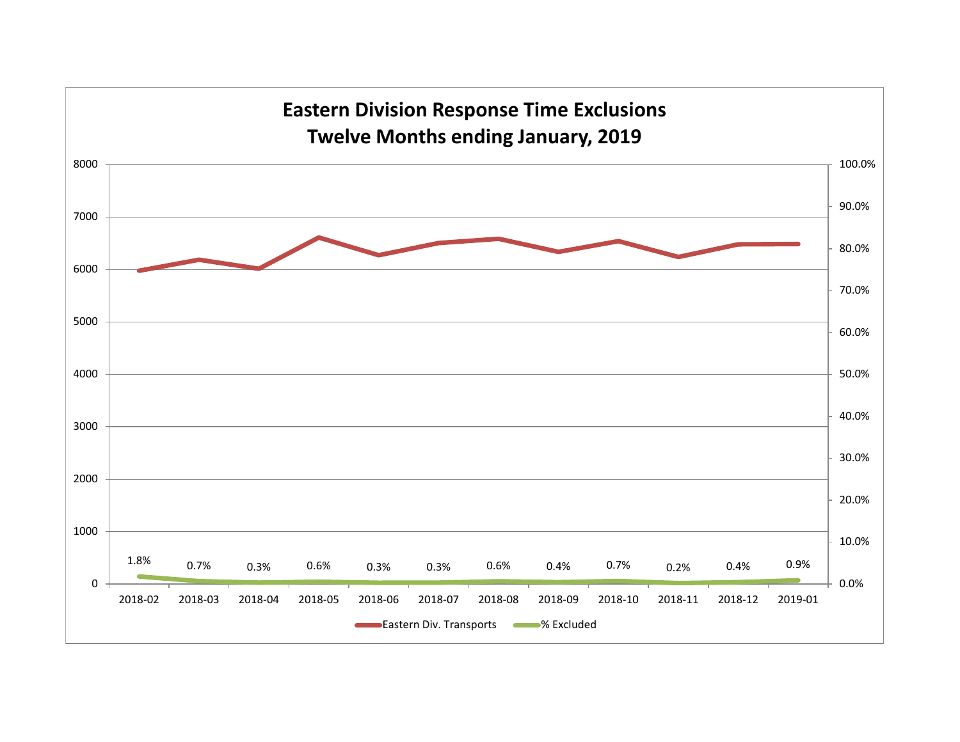